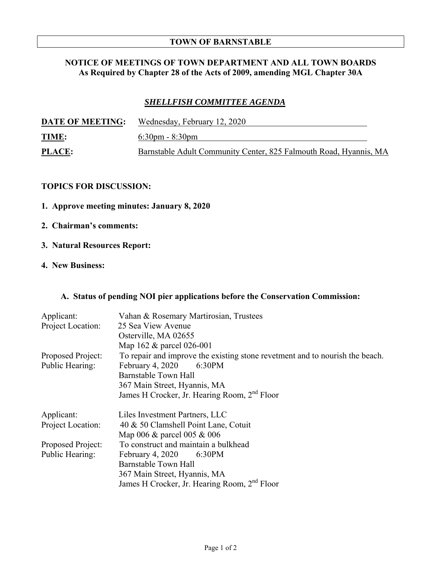## **TOWN OF BARNSTABLE**

## **NOTICE OF MEETINGS OF TOWN DEPARTMENT AND ALL TOWN BOARDS As Required by Chapter 28 of the Acts of 2009, amending MGL Chapter 30A**

# *SHELLFISH COMMITTEE AGENDA*

| <b>DATE OF MEETING:</b> | Wednesday, February 12, 2020                                      |
|-------------------------|-------------------------------------------------------------------|
| <b>TIME:</b>            | $6:30 \text{pm} - 8:30 \text{pm}$                                 |
| <b>PLACE:</b>           | Barnstable Adult Community Center, 825 Falmouth Road, Hyannis, MA |

## **TOPICS FOR DISCUSSION:**

- **1. Approve meeting minutes: January 8, 2020**
- **2. Chairman's comments:**
- **3. Natural Resources Report:**

# **4. New Business:**

## **A. Status of pending NOI pier applications before the Conservation Commission:**

| Applicant:<br>Project Location:      | Vahan & Rosemary Martirosian, Trustees<br>25 Sea View Avenue<br>Osterville, MA 02655<br>Map 162 & parcel 026-001                                                                                                               |
|--------------------------------------|--------------------------------------------------------------------------------------------------------------------------------------------------------------------------------------------------------------------------------|
| Proposed Project:<br>Public Hearing: | To repair and improve the existing stone revetment and to nourish the beach.<br>February 4, 2020<br>6:30PM<br>Barnstable Town Hall<br>367 Main Street, Hyannis, MA<br>James H Crocker, Jr. Hearing Room, 2 <sup>nd</sup> Floor |
| Applicant:<br>Project Location:      | Liles Investment Partners, LLC<br>40 & 50 Clamshell Point Lane, Cotuit<br>Map 006 & parcel 005 & 006                                                                                                                           |
| Proposed Project:<br>Public Hearing: | To construct and maintain a bulkhead<br>February 4, $2020$ 6:30PM<br>Barnstable Town Hall<br>367 Main Street, Hyannis, MA<br>James H Crocker, Jr. Hearing Room, 2 <sup>nd</sup> Floor                                          |